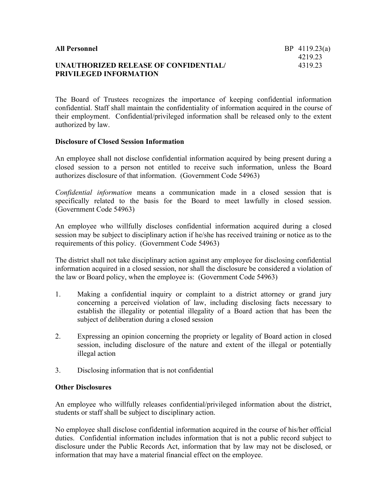| <b>All Personnel</b>                  | BP $4119.23(a)$ |
|---------------------------------------|-----------------|
|                                       | 421923          |
| UNAUTHORIZED RELEASE OF CONFIDENTIAL/ | 431923          |
| <b>PRIVILEGED INFORMATION</b>         |                 |

The Board of Trustees recognizes the importance of keeping confidential information confidential. Staff shall maintain the confidentiality of information acquired in the course of their employment. Confidential/privileged information shall be released only to the extent authorized by law.

## **Disclosure of Closed Session Information**

An employee shall not disclose confidential information acquired by being present during a closed session to a person not entitled to receive such information, unless the Board authorizes disclosure of that information. (Government Code 54963)

*Confidential information* means a communication made in a closed session that is specifically related to the basis for the Board to meet lawfully in closed session. (Government Code 54963)

An employee who willfully discloses confidential information acquired during a closed session may be subject to disciplinary action if he/she has received training or notice as to the requirements of this policy. (Government Code 54963)

The district shall not take disciplinary action against any employee for disclosing confidential information acquired in a closed session, nor shall the disclosure be considered a violation of the law or Board policy, when the employee is: (Government Code 54963)

- 1. Making a confidential inquiry or complaint to a district attorney or grand jury concerning a perceived violation of law, including disclosing facts necessary to establish the illegality or potential illegality of a Board action that has been the subject of deliberation during a closed session
- 2. Expressing an opinion concerning the propriety or legality of Board action in closed session, including disclosure of the nature and extent of the illegal or potentially illegal action
- 3. Disclosing information that is not confidential

## **Other Disclosures**

An employee who willfully releases confidential/privileged information about the district, students or staff shall be subject to disciplinary action.

No employee shall disclose confidential information acquired in the course of his/her official duties. Confidential information includes information that is not a public record subject to disclosure under the Public Records Act, information that by law may not be disclosed, or information that may have a material financial effect on the employee.